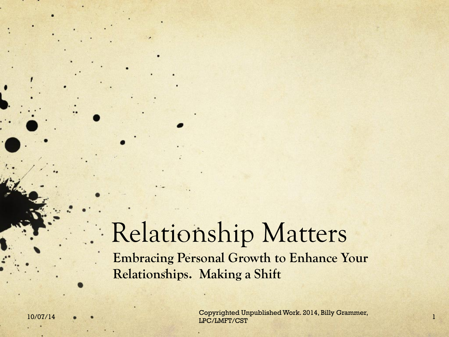#### Relationship Matters **Embracing Personal Growth to Enhance Your Relationships. Making a Shift**

10/07/14 • • • Copyrighted Unpublished Work. 2014, Billy Grammer, 1996) [18] IPC/LMFT/CST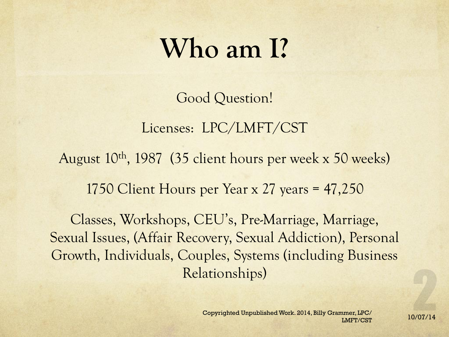#### **Who am I?**

Good Question!

Licenses: LPC/LMFT/CST August 10th, 1987 (35 client hours per week x 50 weeks) 1750 Client Hours per Year x 27 years = 47,250

Classes, Workshops, CEU's, Pre-Marriage, Marriage, Sexual Issues, (Affair Recovery, Sexual Addiction), Personal Growth, Individuals, Couples, Systems (including Business Relationships)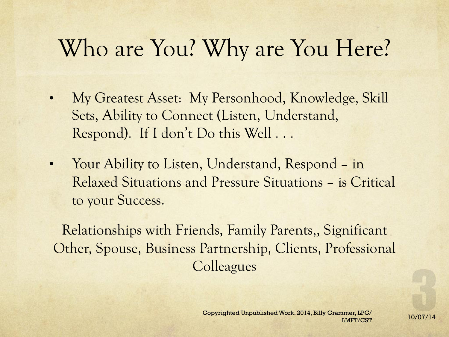#### Who are You? Why are You Here?

- My Greatest Asset: My Personhood, Knowledge, Skill Sets, Ability to Connect (Listen, Understand, Respond). If I don't Do this Well . . .
- Your Ability to Listen, Understand, Respond in Relaxed Situations and Pressure Situations – is Critical to your Success.

Relationships with Friends, Family Parents,, Significant Other, Spouse, Business Partnership, Clients, Professional **Colleagues**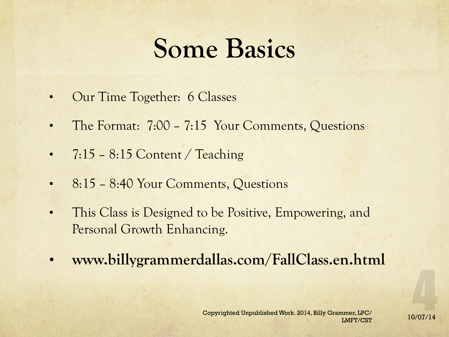#### **Some Basics**

- Our Time Together: 6 Classes
- The Format: 7:00 7:15 Your Comments, Questions
- $7:15 8:15$  Content / Teaching
- 8:15 8:40 Your Comments, Questions
- This Class is Designed to be Positive, Empowering, and Personal Growth Enhancing.
- **www.billygrammerdallas.com/FallClass.en.html**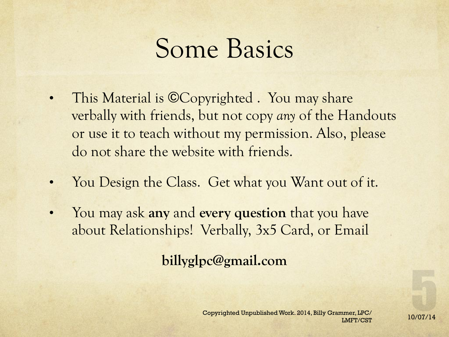#### Some Basics

- This Material is ©Copyrighted . You may share verbally with friends, but not copy *any* of the Handouts or use it to teach without my permission. Also, please do not share the website with friends.
- You Design the Class. Get what you Want out of it.
- You may ask **any** and **every question** that you have about Relationships! Verbally, 3x5 Card, or Email

**billyglpc@gmail.com**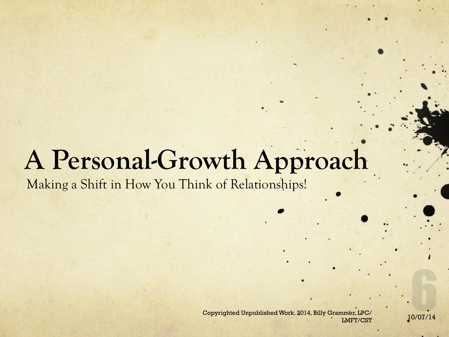#### **A Personal-Growth Approach**

Making a Shift in How You Think of Relationships!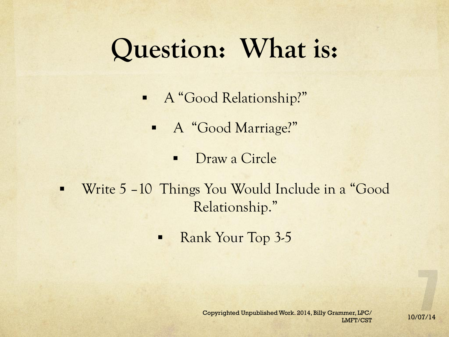# **Question: What is:**

- § A "Good Relationship?"
	- § A "Good Marriage?"
		- Draw a Circle
- § Write 5 –10 Things You Would Include in a "Good Relationship."
	- Rank Your Top 3-5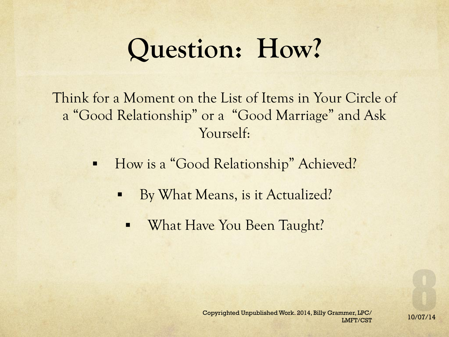# **Question: How?**

Think for a Moment on the List of Items in Your Circle of a "Good Relationship" or a "Good Marriage" and Ask Yourself:

- How is a "Good Relationship" Achieved?
	- § By What Means, is it Actualized?
		- What Have You Been Taught?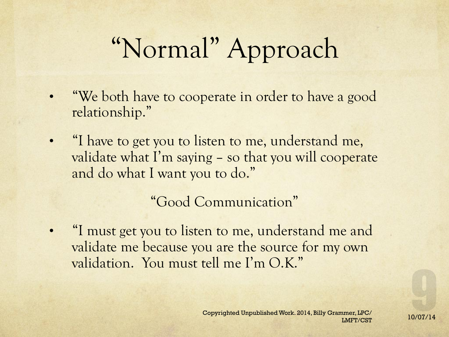# "Normal" Approach

- **"We both have to cooperate in order to have a good** relationship."
- "I have to get you to listen to me, understand me, validate what I'm saying – so that you will cooperate and do what I want you to do."

"Good Communication"

• "I must get you to listen to me, understand me and validate me because you are the source for my own validation. You must tell me I'm O.K."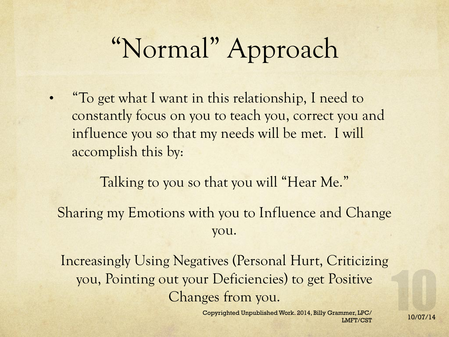# "Normal" Approach

• "To get what I want in this relationship, I need to constantly focus on you to teach you, correct you and influence you so that my needs will be met. I will accomplish this by:

Talking to you so that you will "Hear Me." Sharing my Emotions with you to Influence and Change you.

Increasingly Using Negatives (Personal Hurt, Criticizing you, Pointing out your Deficiencies) to get Positive Changes from you.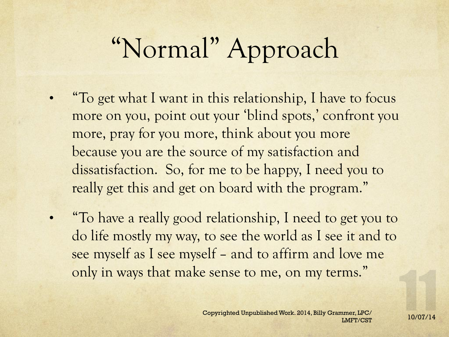# "Normal" Approach

- "To get what I want in this relationship, I have to focus more on you, point out your 'blind spots,' confront you more, pray for you more, think about you more because you are the source of my satisfaction and dissatisfaction. So, for me to be happy, I need you to really get this and get on board with the program."
- "To have a really good relationship, I need to get you to do life mostly my way, to see the world as I see it and to see myself as I see myself – and to affirm and love me only in ways that make sense to me, on my terms."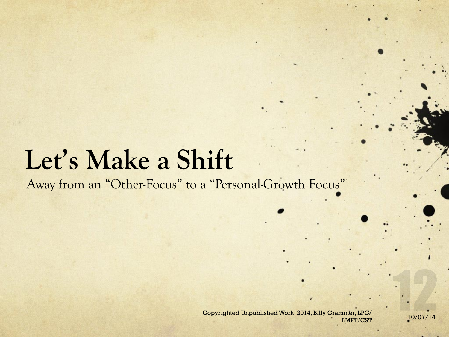#### **Let's Make a Shift**

Away from an "Other-Focus" to a "Personal-Growth Focus"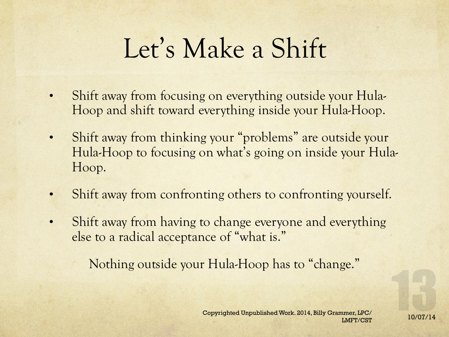# Let's Make a Shift

- Shift away from focusing on everything outside your Hula-Hoop and shift toward everything inside your Hula-Hoop.
- Shift away from thinking your "problems" are outside your Hula-Hoop to focusing on what's going on inside your Hula-Hoop.
- Shift away from confronting others to confronting yourself.
- Shift away from having to change everyone and everything else to a radical acceptance of "what is."

Nothing outside your Hula-Hoop has to "change."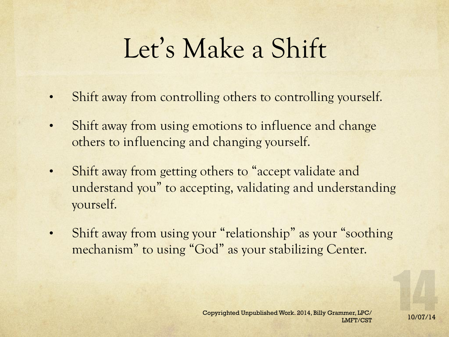# Let's Make a Shift

- Shift away from controlling others to controlling yourself.
- Shift away from using emotions to influence and change others to influencing and changing yourself.
- Shift away from getting others to "accept validate and understand you" to accepting, validating and understanding yourself.
- Shift away from using your "relationship" as your "soothing" mechanism" to using "God" as your stabilizing Center.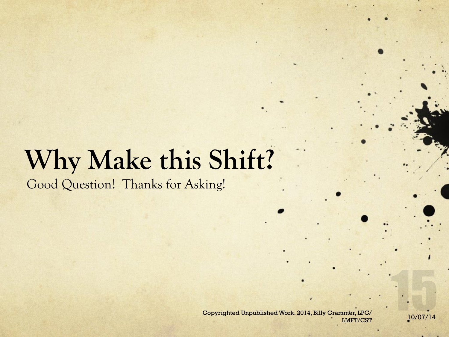Good Question! Thanks for Asking!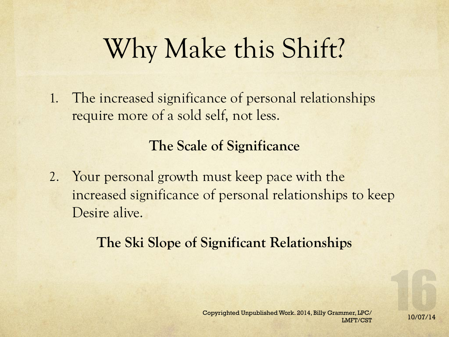The increased significance of personal relationships require more of a sold self, not less.

#### **The Scale of Significance**

2. Your personal growth must keep pace with the increased significance of personal relationships to keep Desire alive.

#### **The Ski Slope of Significant Relationships**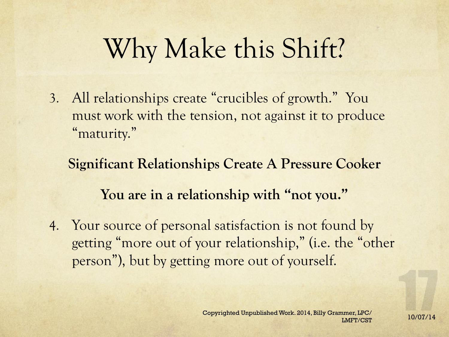3. All relationships create "crucibles of growth." You must work with the tension, not against it to produce "maturity."

**Significant Relationships Create A Pressure Cooker You are in a relationship with "not you."** 

4. Your source of personal satisfaction is not found by getting "more out of your relationship," (i.e. the "other person"), but by getting more out of yourself.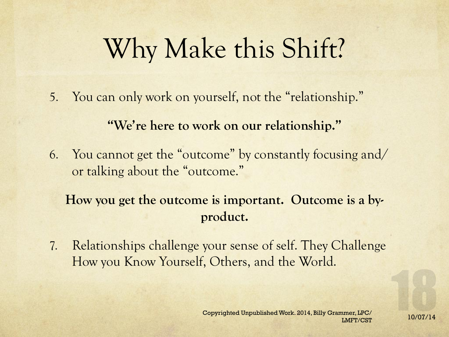5. You can only work on yourself, not the "relationship."

**"We're here to work on our relationship."** 

6. You cannot get the "outcome" by constantly focusing and/ or talking about the "outcome."

**How you get the outcome is important. Outcome is a byproduct.** 

7. Relationships challenge your sense of self. They Challenge How you Know Yourself, Others, and the World.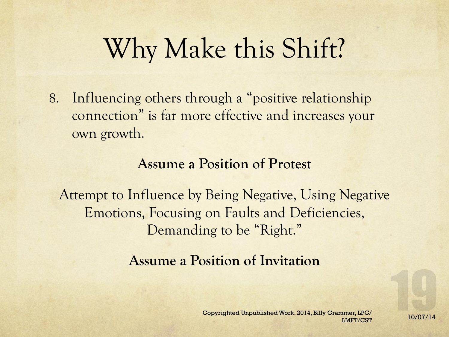8. Influencing others through a "positive relationship connection" is far more effective and increases your own growth.

#### **Assume a Position of Protest**

Attempt to Influence by Being Negative, Using Negative Emotions, Focusing on Faults and Deficiencies, Demanding to be "Right."

#### **Assume a Position of Invitation**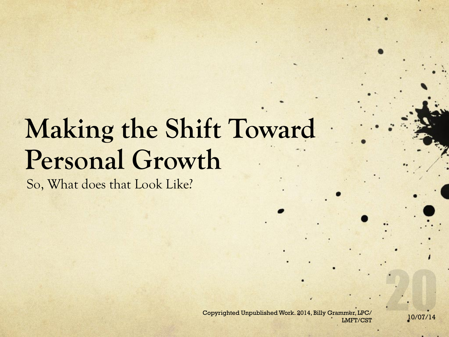# **Making the Shift Toward Personal Growth**

So, What does that Look Like?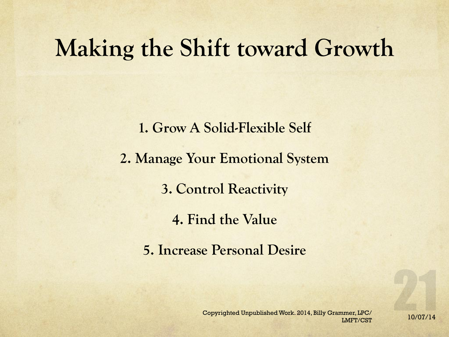#### **Making the Shift toward Growth**

**1. Grow A Solid-Flexible Self 2. Manage Your Emotional System 3. Control Reactivity 4. Find the Value 5. Increase Personal Desire**